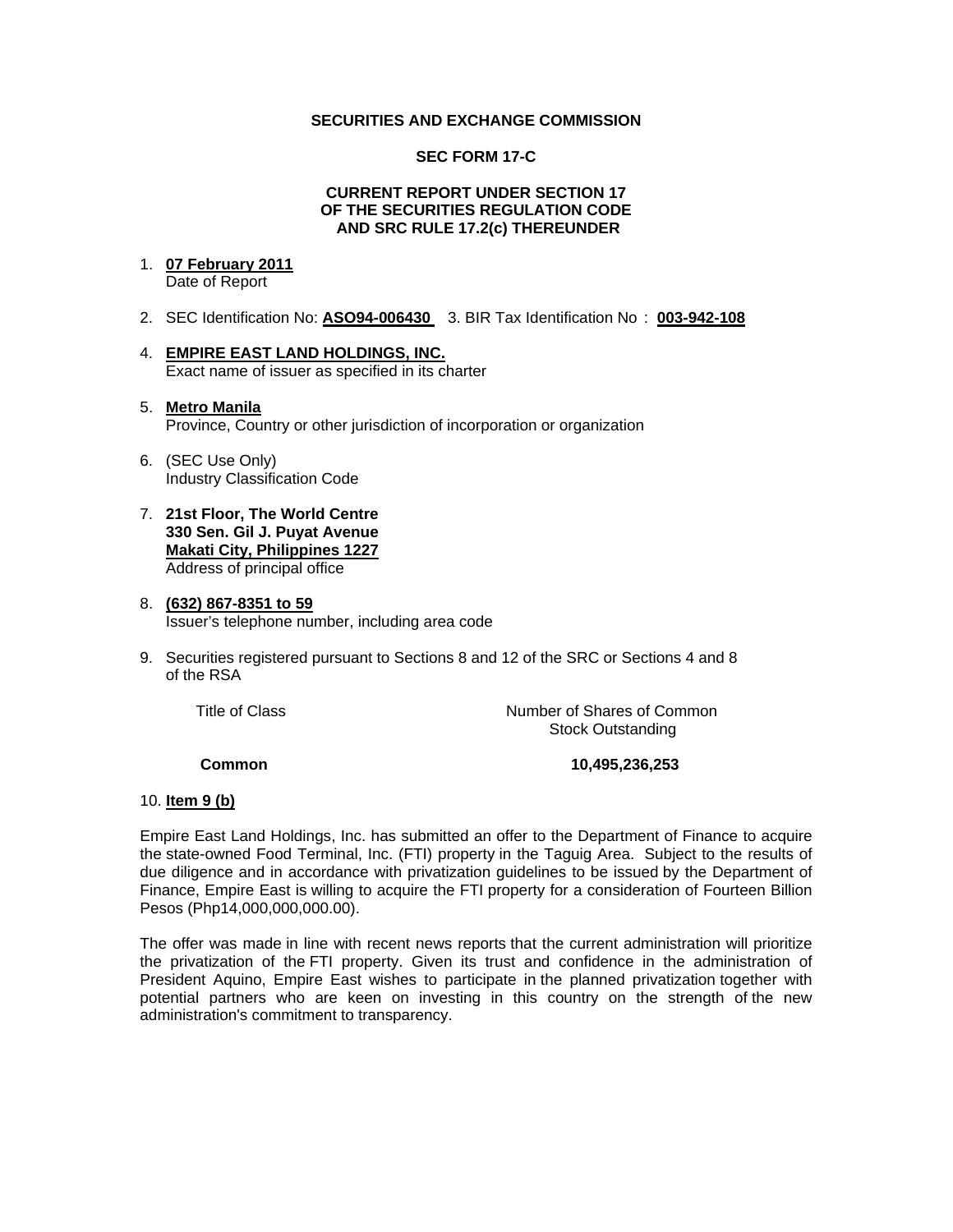# **SECURITIES AND EXCHANGE COMMISSION**

## **SEC FORM 17-C**

### **CURRENT REPORT UNDER SECTION 17 OF THE SECURITIES REGULATION CODE AND SRC RULE 17.2(c) THEREUNDER**

# 1. **07 February 2011**

Date of Report

- 2. SEC Identification No: **ASO94-006430** 3. BIR Tax Identification No : **003-942-108**
- 4. **EMPIRE EAST LAND HOLDINGS, INC.** Exact name of issuer as specified in its charter

# 5. **Metro Manila** Province, Country or other jurisdiction of incorporation or organization

- 6. (SEC Use Only) Industry Classification Code
- 7. **21st Floor, The World Centre 330 Sen. Gil J. Puyat Avenue Makati City, Philippines 1227** Address of principal office

#### 8. **(632) 867-8351 to 59** Issuer's telephone number, including area code

9. Securities registered pursuant to Sections 8 and 12 of the SRC or Sections 4 and 8 of the RSA

 Title of ClassNumber of Shares of Common Stock Outstanding

# **Common 10,495,236,253**

# 10. **Item 9 (b)**

Empire East Land Holdings, Inc. has submitted an offer to the Department of Finance to acquire the state-owned Food Terminal, Inc. (FTI) property in the Taguig Area. Subject to the results of due diligence and in accordance with privatization guidelines to be issued by the Department of Finance, Empire East is willing to acquire the FTI property for a consideration of Fourteen Billion Pesos (Php14,000,000,000.00).

The offer was made in line with recent news reports that the current administration will prioritize the privatization of the FTI property. Given its trust and confidence in the administration of President Aquino, Empire East wishes to participate in the planned privatization together with potential partners who are keen on investing in this country on the strength of the new administration's commitment to transparency.